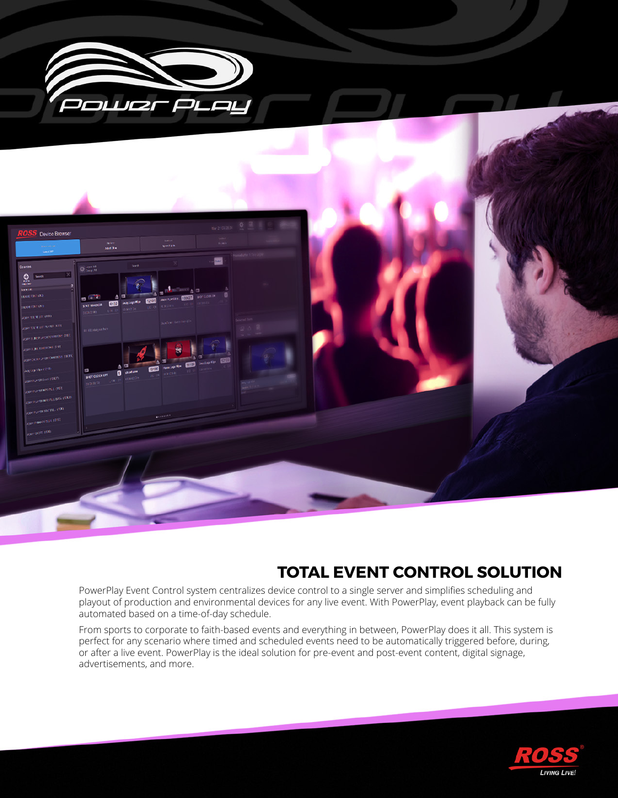

# **TOTAL EVENT CONTROL SOLUTION**

PowerPlay Event Control system centralizes device control to a single server and simplifies scheduling and playout of production and environmental devices for any live event. With PowerPlay, event playback can be fully automated based on a time-of-day schedule.

From sports to corporate to faith-based events and everything in between, PowerPlay does it all. This system is perfect for any scenario where timed and scheduled events need to be automatically triggered before, during, or after a live event. PowerPlay is the ideal solution for pre-event and post-event content, digital signage, advertisements, and more.